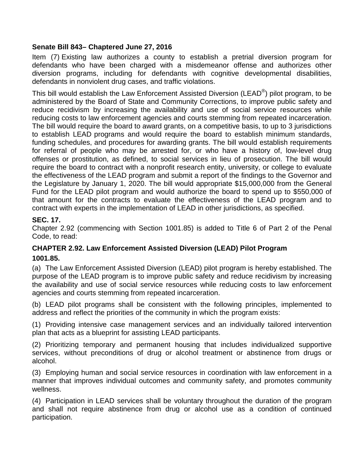### **Senate Bill 843– Chaptered June 27, 2016**

Item (7) Existing law authorizes a county to establish a pretrial diversion program for defendants who have been charged with a misdemeanor offense and authorizes other diversion programs, including for defendants with cognitive developmental disabilities, defendants in nonviolent drug cases, and traffic violations.

This bill would establish the Law Enforcement Assisted Diversion (LEAD®) pilot program, to be administered by the Board of State and Community Corrections, to improve public safety and reduce recidivism by increasing the availability and use of social service resources while reducing costs to law enforcement agencies and courts stemming from repeated incarceration. The bill would require the board to award grants, on a competitive basis, to up to 3 jurisdictions to establish LEAD programs and would require the board to establish minimum standards, funding schedules, and procedures for awarding grants. The bill would establish requirements for referral of people who may be arrested for, or who have a history of, low-level drug offenses or prostitution, as defined, to social services in lieu of prosecution. The bill would require the board to contract with a nonprofit research entity, university, or college to evaluate the effectiveness of the LEAD program and submit a report of the findings to the Governor and the Legislature by January 1, 2020. The bill would appropriate \$15,000,000 from the General Fund for the LEAD pilot program and would authorize the board to spend up to \$550,000 of that amount for the contracts to evaluate the effectiveness of the LEAD program and to contract with experts in the implementation of LEAD in other jurisdictions, as specified.

# **SEC. 17.**

Chapter 2.92 (commencing with Section 1001.85) is added to Title 6 of Part 2 of the Penal Code, to read:

# **CHAPTER 2.92. Law Enforcement Assisted Diversion (LEAD) Pilot Program 1001.85.**

(a) The Law Enforcement Assisted Diversion (LEAD) pilot program is hereby established. The purpose of the LEAD program is to improve public safety and reduce recidivism by increasing the availability and use of social service resources while reducing costs to law enforcement agencies and courts stemming from repeated incarceration.

(b) LEAD pilot programs shall be consistent with the following principles, implemented to address and reflect the priorities of the community in which the program exists:

(1) Providing intensive case management services and an individually tailored intervention plan that acts as a blueprint for assisting LEAD participants.

(2) Prioritizing temporary and permanent housing that includes individualized supportive services, without preconditions of drug or alcohol treatment or abstinence from drugs or alcohol.

(3) Employing human and social service resources in coordination with law enforcement in a manner that improves individual outcomes and community safety, and promotes community wellness.

(4) Participation in LEAD services shall be voluntary throughout the duration of the program and shall not require abstinence from drug or alcohol use as a condition of continued participation.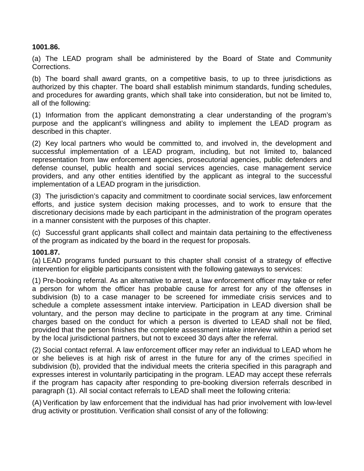### **1001.86.**

(a) The LEAD program shall be administered by the Board of State and Community Corrections.

(b) The board shall award grants, on a competitive basis, to up to three jurisdictions as authorized by this chapter. The board shall establish minimum standards, funding schedules, and procedures for awarding grants, which shall take into consideration, but not be limited to, all of the following:

(1) Information from the applicant demonstrating a clear understanding of the program's purpose and the applicant's willingness and ability to implement the LEAD program as described in this chapter.

(2) Key local partners who would be committed to, and involved in, the development and successful implementation of a LEAD program, including, but not limited to, balanced representation from law enforcement agencies, prosecutorial agencies, public defenders and defense counsel, public health and social services agencies, case management service providers, and any other entities identified by the applicant as integral to the successful implementation of a LEAD program in the jurisdiction.

(3) The jurisdiction's capacity and commitment to coordinate social services, law enforcement efforts, and justice system decision making processes, and to work to ensure that the discretionary decisions made by each participant in the administration of the program operates in a manner consistent with the purposes of this chapter.

(c) Successful grant applicants shall collect and maintain data pertaining to the effectiveness of the program as indicated by the board in the request for proposals.

#### **1001.87.**

(a) LEAD programs funded pursuant to this chapter shall consist of a strategy of effective intervention for eligible participants consistent with the following gateways to services:

(1) Pre-booking referral. As an alternative to arrest, a law enforcement officer may take or refer a person for whom the officer has probable cause for arrest for any of the offenses in subdivision (b) to a case manager to be screened for immediate crisis services and to schedule a complete assessment intake interview. Participation in LEAD diversion shall be voluntary, and the person may decline to participate in the program at any time. Criminal charges based on the conduct for which a person is diverted to LEAD shall not be filed, provided that the person finishes the complete assessment intake interview within a period set by the local jurisdictional partners, but not to exceed 30 days after the referral.

(2) Social contact referral. A law enforcement officer may refer an individual to LEAD whom he or she believes is at high risk of arrest in the future for any of the crimes specified in subdivision (b), provided that the individual meets the criteria specified in this paragraph and expresses interest in voluntarily participating in the program. LEAD may accept these referrals if the program has capacity after responding to pre-booking diversion referrals described in paragraph (1). All social contact referrals to LEAD shall meet the following criteria:

(A) Verification by law enforcement that the individual has had prior involvement with low-level drug activity or prostitution. Verification shall consist of any of the following: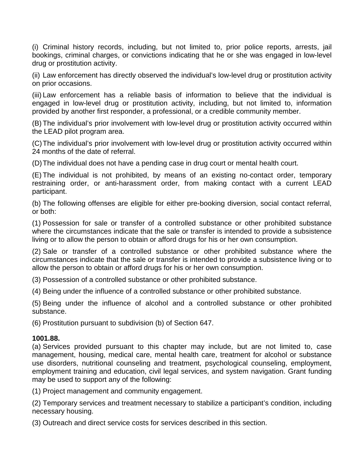(i) Criminal history records, including, but not limited to, prior police reports, arrests, jail bookings, criminal charges, or convictions indicating that he or she was engaged in low-level drug or prostitution activity.

(ii) Law enforcement has directly observed the individual's low-level drug or prostitution activity on prior occasions.

(iii) Law enforcement has a reliable basis of information to believe that the individual is engaged in low-level drug or prostitution activity, including, but not limited to, information provided by another first responder, a professional, or a credible community member.

(B) The individual's prior involvement with low-level drug or prostitution activity occurred within the LEAD pilot program area.

(C)The individual's prior involvement with low-level drug or prostitution activity occurred within 24 months of the date of referral.

(D)The individual does not have a pending case in drug court or mental health court.

(E) The individual is not prohibited, by means of an existing no-contact order, temporary restraining order, or anti-harassment order, from making contact with a current LEAD participant.

(b) The following offenses are eligible for either pre-booking diversion, social contact referral, or both:

(1) Possession for sale or transfer of a controlled substance or other prohibited substance where the circumstances indicate that the sale or transfer is intended to provide a subsistence living or to allow the person to obtain or afford drugs for his or her own consumption.

(2) Sale or transfer of a controlled substance or other prohibited substance where the circumstances indicate that the sale or transfer is intended to provide a subsistence living or to allow the person to obtain or afford drugs for his or her own consumption.

(3) Possession of a controlled substance or other prohibited substance.

(4) Being under the influence of a controlled substance or other prohibited substance.

(5) Being under the influence of alcohol and a controlled substance or other prohibited substance.

(6) Prostitution pursuant to subdivision (b) of Section 647.

### **1001.88.**

(a) Services provided pursuant to this chapter may include, but are not limited to, case management, housing, medical care, mental health care, treatment for alcohol or substance use disorders, nutritional counseling and treatment, psychological counseling, employment, employment training and education, civil legal services, and system navigation. Grant funding may be used to support any of the following:

(1) Project management and community engagement.

(2) Temporary services and treatment necessary to stabilize a participant's condition, including necessary housing.

(3) Outreach and direct service costs for services described in this section.